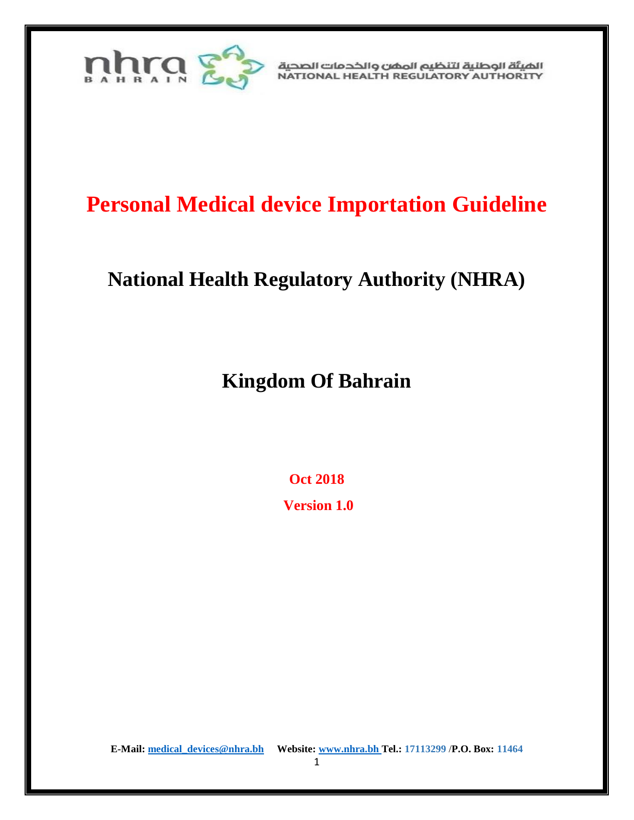

الهيئة الوطنية لتنظيم المهن والخدمات الصحية NATIONAL HEALTH REGULATORY AUTHORITY

# **Personal Medical device Importation Guideline**

## **National Health Regulatory Authority (NHRA)**

**Kingdom Of Bahrain**

**Oct 2018**

**Version 1.0**

**E-Mail[: medical\\_devices@nhra.bh](mailto:medical_devices@nhra.bh) Website: [www.nhra.bh](http://www.nhra.bh/) Tel.: 17113299** /**P.O. Box: 11464** 

1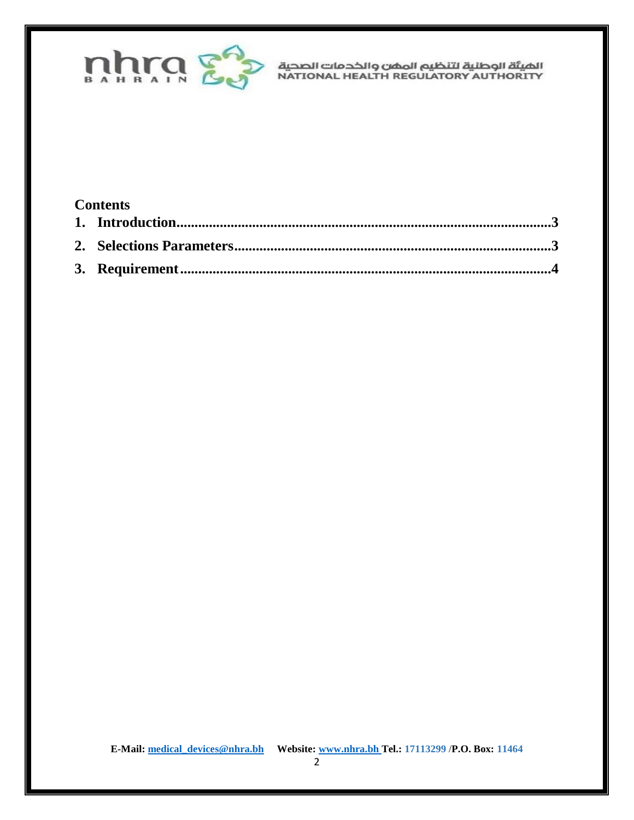

الضيئة الوطنية لتنظيم المضن والخدمات الصحية<br>NATIONAL HEALTH REGULATORY AUTHORITY

### **Contents**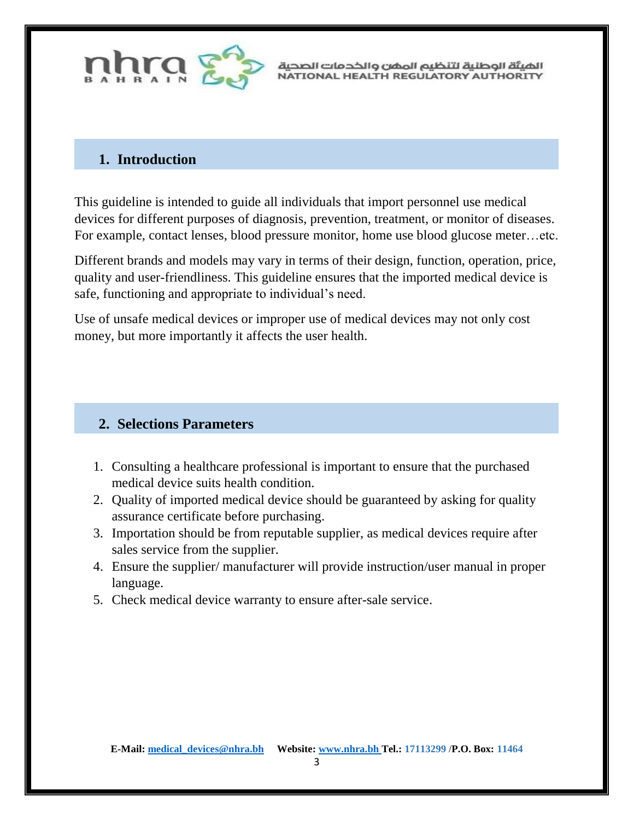

الهيئة الوطنية لتنظيم المهن والخدمات الصحية NATIONAL HEALTH REGULATORY AUTHORITY

### <span id="page-2-0"></span>**1. Introduction**

This guideline is intended to guide all individuals that import personnel use medical devices for different purposes of diagnosis, prevention, treatment, or monitor of diseases. For example, contact lenses, blood pressure monitor, home use blood glucose meter…etc.

Different brands and models may vary in terms of their design, function, operation, price, quality and user-friendliness. This guideline ensures that the imported medical device is safe, functioning and appropriate to individual's need.

Use of unsafe medical devices or improper use of medical devices may not only cost money, but more importantly it affects the user health.

#### <span id="page-2-1"></span>**2. Selections Parameters**

- 1. Consulting a healthcare professional is important to ensure that the purchased medical device suits health condition.
- 2. Quality of imported medical device should be guaranteed by asking for quality assurance certificate before purchasing.
- 3. Importation should be from reputable supplier, as medical devices require after sales service from the supplier.
- 4. Ensure the supplier/ manufacturer will provide instruction/user manual in proper language.
- 5. Check medical device warranty to ensure after-sale service.